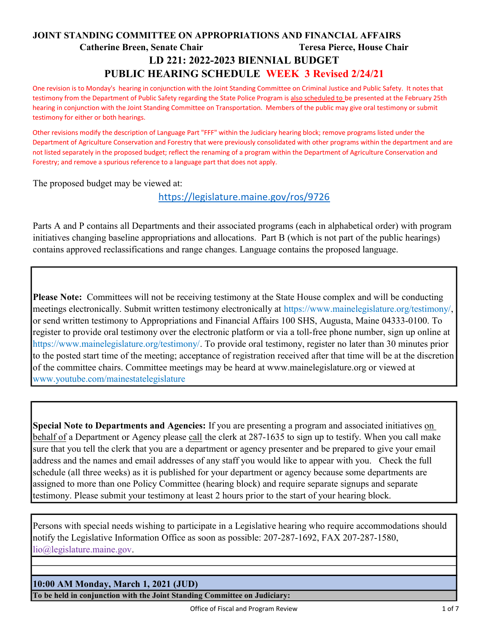# JOINT STANDING COMMITTEE ON APPROPRIATIONS AND FINANCIAL AFFAIRS Catherine Breen, Senate Chair Teresa Pierce, House Chair LD 221: 2022-2023 BIENNIAL BUDGET PUBLIC HEARING SCHEDULE WEEK 3 Revised 2/24/21

One revision is to Monday's hearing in conjunction with the Joint Standing Committee on Criminal Justice and Public Safety. It notes that testimony from the Department of Public Safety regarding the State Police Program is also scheduled to be presented at the February 25th hearing in conjunction with the Joint Standing Committee on Transportation. Members of the public may give oral testimony or submit testimony for either or both hearings.

Other revisions modify the description of Language Part "FFF" within the Judiciary hearing block; remove programs listed under the Department of Agriculture Conservation and Forestry that were previously consolidated with other programs within the department and are not listed separately in the proposed budget; reflect the renaming of a program within the Department of Agriculture Conservation and Forestry; and remove a spurious reference to a language part that does not apply.

The proposed budget may be viewed at:

https://legislature.maine.gov/ros/9726

Parts A and P contains all Departments and their associated programs (each in alphabetical order) with program initiatives changing baseline appropriations and allocations. Part B (which is not part of the public hearings) contains approved reclassifications and range changes. Language contains the proposed language.

Please Note: Committees will not be receiving testimony at the State House complex and will be conducting meetings electronically. Submit written testimony electronically at https://www.mainelegislature.org/testimony/, or send written testimony to Appropriations and Financial Affairs 100 SHS, Augusta, Maine 04333-0100. To register to provide oral testimony over the electronic platform or via a toll-free phone number, sign up online at https://www.mainelegislature.org/testimony/. To provide oral testimony, register no later than 30 minutes prior to the posted start time of the meeting; acceptance of registration received after that time will be at the discretion of the committee chairs. Committee meetings may be heard at www.mainelegislature.org or viewed at www.youtube.com/mainestatelegislature

Special Note to Departments and Agencies: If you are presenting a program and associated initiatives on behalf of a Department or Agency please call the clerk at 287-1635 to sign up to testify. When you call make sure that you tell the clerk that you are a department or agency presenter and be prepared to give your email address and the names and email addresses of any staff you would like to appear with you. Check the full schedule (all three weeks) as it is published for your department or agency because some departments are assigned to more than one Policy Committee (hearing block) and require separate signups and separate testimony. Please submit your testimony at least 2 hours prior to the start of your hearing block.

Persons with special needs wishing to participate in a Legislative hearing who require accommodations should notify the Legislative Information Office as soon as possible: 207-287-1692, FAX 207-287-1580, lio@legislature.maine.gov.

### 10:00 AM Monday, March 1, 2021 (JUD)

To be held in conjunction with the Joint Standing Committee on Judiciary: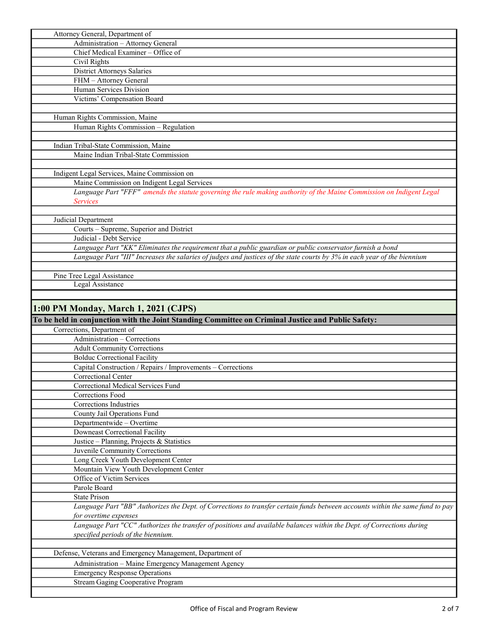| Administration - Attorney General<br>Chief Medical Examiner - Office of<br>Civil Rights<br>District Attorneys Salaries        |
|-------------------------------------------------------------------------------------------------------------------------------|
|                                                                                                                               |
|                                                                                                                               |
|                                                                                                                               |
|                                                                                                                               |
| FHM - Attorney General                                                                                                        |
| Human Services Division                                                                                                       |
| Victims' Compensation Board                                                                                                   |
|                                                                                                                               |
| Human Rights Commission, Maine                                                                                                |
| Human Rights Commission - Regulation                                                                                          |
|                                                                                                                               |
| Indian Tribal-State Commission, Maine                                                                                         |
| Maine Indian Tribal-State Commission                                                                                          |
|                                                                                                                               |
| Indigent Legal Services, Maine Commission on                                                                                  |
| Maine Commission on Indigent Legal Services                                                                                   |
|                                                                                                                               |
| Language Part "FFF" amends the statute governing the rule making authority of the Maine Commission on Indigent Legal          |
| <b>Services</b>                                                                                                               |
|                                                                                                                               |
| Judicial Department                                                                                                           |
| Courts - Supreme, Superior and District                                                                                       |
| Judicial - Debt Service                                                                                                       |
| Language Part "KK" Eliminates the requirement that a public guardian or public conservator furnish a bond                     |
| Language Part "III" Increases the salaries of judges and justices of the state courts by 3% in each year of the biennium      |
|                                                                                                                               |
| Pine Tree Legal Assistance                                                                                                    |
| <b>Legal Assistance</b>                                                                                                       |
|                                                                                                                               |
| 1:00 PM Monday, March 1, 2021 (CJPS)                                                                                          |
|                                                                                                                               |
| To be held in conjunction with the Joint Standing Committee on Criminal Justice and Public Safety:                            |
| Corrections, Department of                                                                                                    |
| Administration - Corrections                                                                                                  |
| <b>Adult Community Corrections</b>                                                                                            |
|                                                                                                                               |
| <b>Bolduc Correctional Facility</b>                                                                                           |
| Capital Construction / Repairs / Improvements - Corrections                                                                   |
| Correctional Center                                                                                                           |
| Correctional Medical Services Fund                                                                                            |
| Corrections Food                                                                                                              |
| Corrections Industries                                                                                                        |
| County Jail Operations Fund                                                                                                   |
| Departmentwide - Overtime                                                                                                     |
| <b>Downeast Correctional Facility</b>                                                                                         |
|                                                                                                                               |
| Justice – Planning, Projects & Statistics                                                                                     |
| Juvenile Community Corrections                                                                                                |
| Long Creek Youth Development Center                                                                                           |
| Mountain View Youth Development Center                                                                                        |
| Office of Victim Services                                                                                                     |
| Parole Board                                                                                                                  |
| <b>State Prison</b>                                                                                                           |
| Language Part "BB" Authorizes the Dept. of Corrections to transfer certain funds between accounts within the same fund to pay |
| for overtime expenses                                                                                                         |
| Language Part "CC" Authorizes the transfer of positions and available balances within the Dept. of Corrections during         |
| specified periods of the biennium.                                                                                            |
|                                                                                                                               |
| Defense, Veterans and Emergency Management, Department of                                                                     |
| Administration - Maine Emergency Management Agency                                                                            |
| <b>Emergency Response Operations</b>                                                                                          |
| Stream Gaging Cooperative Program                                                                                             |

L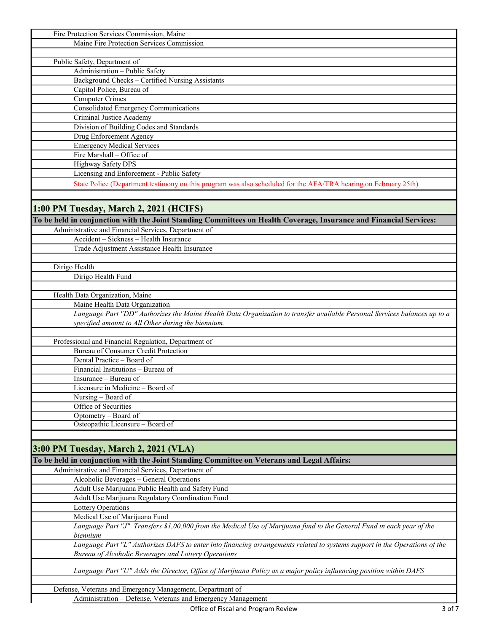| Fire Protection Services Commission, Maine                                                                                 |
|----------------------------------------------------------------------------------------------------------------------------|
| Maine Fire Protection Services Commission                                                                                  |
|                                                                                                                            |
| Public Safety, Department of                                                                                               |
| Administration - Public Safety                                                                                             |
| Background Checks - Certified Nursing Assistants                                                                           |
| Capitol Police, Bureau of                                                                                                  |
| <b>Computer Crimes</b>                                                                                                     |
| Consolidated Emergency Communications                                                                                      |
| Criminal Justice Academy                                                                                                   |
| Division of Building Codes and Standards                                                                                   |
| Drug Enforcement Agency                                                                                                    |
| <b>Emergency Medical Services</b>                                                                                          |
| Fire Marshall - Office of                                                                                                  |
| Highway Safety DPS                                                                                                         |
| Licensing and Enforcement - Public Safety                                                                                  |
| State Police (Department testimony on this program was also scheduled for the AFA/TRA hearing on February 25th)            |
|                                                                                                                            |
|                                                                                                                            |
| 1:00 PM Tuesday, March 2, 2021 (HCIFS)                                                                                     |
| To be held in conjunction with the Joint Standing Committees on Health Coverage, Insurance and Financial Services:         |
| Administrative and Financial Services, Department of                                                                       |
| Accident - Sickness - Health Insurance                                                                                     |
| Trade Adjustment Assistance Health Insurance                                                                               |
|                                                                                                                            |
| Dirigo Health                                                                                                              |
| Dirigo Health Fund                                                                                                         |
|                                                                                                                            |
| Health Data Organization, Maine                                                                                            |
| Maine Health Data Organization                                                                                             |
| Language Part "DD" Authorizes the Maine Health Data Organization to transfer available Personal Services balances up to a  |
| specified amount to All Other during the biennium.                                                                         |
|                                                                                                                            |
| Professional and Financial Regulation, Department of                                                                       |
| <b>Bureau of Consumer Credit Protection</b>                                                                                |
| Dental Practice - Board of                                                                                                 |
| Financial Institutions - Bureau of                                                                                         |
| Insurance - Bureau of                                                                                                      |
| Licensure in Medicine - Board of                                                                                           |
| Nursing - Board of                                                                                                         |
| Office of Securities                                                                                                       |
| Optometry - Board of                                                                                                       |
| Osteopathic Licensure - Board of                                                                                           |
|                                                                                                                            |
| 3:00 PM Tuesday, March 2, 2021 (VLA)                                                                                       |
| To be held in conjunction with the Joint Standing Committee on Veterans and Legal Affairs:                                 |
| Administrative and Financial Services, Department of                                                                       |
| Alcoholic Beverages - General Operations                                                                                   |
| Adult Use Marijuana Public Health and Safety Fund                                                                          |
| Adult Use Marijuana Regulatory Coordination Fund                                                                           |
| Lottery Operations                                                                                                         |
| Medical Use of Marijuana Fund                                                                                              |
| Language Part "J" Transfers \$1,00,000 from the Medical Use of Marijuana fund to the General Fund in each year of the      |
| biennium                                                                                                                   |
| Language Part "L" Authorizes DAFS to enter into financing arrangements related to systems support in the Operations of the |
| Bureau of Alcoholic Beverages and Lottery Operations                                                                       |
|                                                                                                                            |
| Language Part "U" Adds the Director, Office of Marijuana Policy as a major policy influencing position within DAFS         |
|                                                                                                                            |
| Defense, Veterans and Emergency Management, Department of                                                                  |
| Administration - Defense, Veterans and Emergency Management                                                                |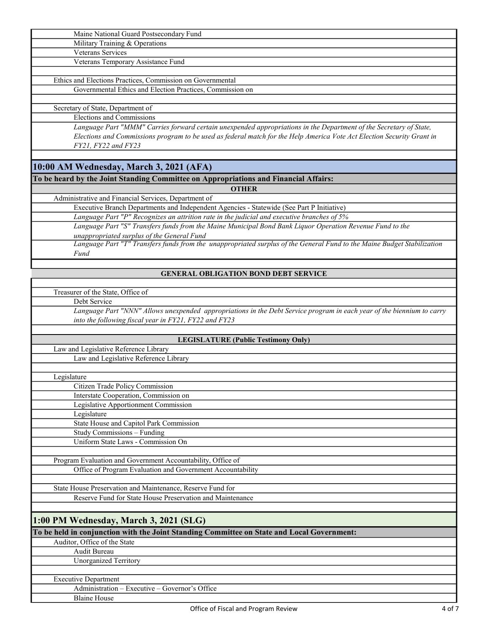|--|

Military Training & Operations

Veterans Services

Veterans Temporary Assistance Fund

Ethics and Elections Practices, Commission on Governmental Governmental Ethics and Election Practices, Commission on

Secretary of State, Department of

Elections and Commissions

Language Part "MMM" Carries forward certain unexpended appropriations in the Department of the Secretary of State, Elections and Commissions program to be used as federal match for the Help America Vote Act Election Security Grant in FY21, FY22 and FY23

## 10:00 AM Wednesday, March 3, 2021 (AFA)

To be heard by the Joint Standing Committee on Appropriations and Financial Affairs:

**OTHER** 

Administrative and Financial Services, Department of

Executive Branch Departments and Independent Agencies - Statewide (See Part P Initiative) Language Part "P" Recognizes an attrition rate in the judicial and executive branches of 5%

Language Part "S" Transfers funds from the Maine Municipal Bond Bank Liquor Operation Revenue Fund to the unappropriated surplus of the General Fund

Language Part "T" Transfers funds from the unappropriated surplus of the General Fund to the Maine Budget Stabilization Fund

### GENERAL OBLIGATION BOND DEBT SERVICE

Treasurer of the State, Office of

Debt Service

Language Part "NNN" Allows unexpended appropriations in the Debt Service program in each year of the biennium to carry into the following fiscal year in FY21, FY22 and FY23

#### LEGISLATURE (Public Testimony Only)

Law and Legislative Reference Library

Law and Legislative Reference Library

Legislature

Citizen Trade Policy Commission

Interstate Cooperation, Commission on Legislative Apportionment Commission

Legislature

State House and Capitol Park Commission

Study Commissions – Funding

Uniform State Laws - Commission On

Office of Program Evaluation and Government Accountability Program Evaluation and Government Accountability, Office of

State House Preservation and Maintenance, Reserve Fund for

Reserve Fund for State House Preservation and Maintenance

### 1:00 PM Wednesday, March 3, 2021 (SLG)

To be held in conjunction with the Joint Standing Committee on State and Local Government:

Auditor, Office of the State Audit Bureau Unorganized Territory

### Executive Department

Administration – Executive – Governor's Office Blaine House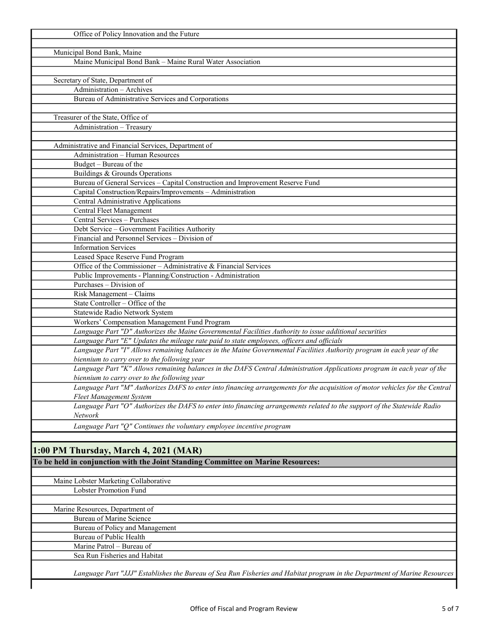| Office of Policy Innovation and the Future                                                                                   |
|------------------------------------------------------------------------------------------------------------------------------|
|                                                                                                                              |
| Municipal Bond Bank, Maine                                                                                                   |
| Maine Municipal Bond Bank - Maine Rural Water Association                                                                    |
|                                                                                                                              |
| Secretary of State, Department of                                                                                            |
| Administration - Archives                                                                                                    |
| Bureau of Administrative Services and Corporations                                                                           |
|                                                                                                                              |
| Treasurer of the State, Office of                                                                                            |
| Administration - Treasury                                                                                                    |
|                                                                                                                              |
| Administrative and Financial Services, Department of                                                                         |
| Administration - Human Resources                                                                                             |
| Budget - Bureau of the                                                                                                       |
| Buildings & Grounds Operations                                                                                               |
| Bureau of General Services - Capital Construction and Improvement Reserve Fund                                               |
| Capital Construction/Repairs/Improvements - Administration                                                                   |
| Central Administrative Applications                                                                                          |
| Central Fleet Management                                                                                                     |
| Central Services - Purchases                                                                                                 |
| Debt Service - Government Facilities Authority                                                                               |
| Financial and Personnel Services - Division of                                                                               |
| <b>Information Services</b>                                                                                                  |
| Leased Space Reserve Fund Program                                                                                            |
| Office of the Commissioner – Administrative $\&$ Financial Services                                                          |
| Public Improvements - Planning/Construction - Administration                                                                 |
| Purchases - Division of                                                                                                      |
| Risk Management - Claims                                                                                                     |
| State Controller - Office of the                                                                                             |
| Statewide Radio Network System                                                                                               |
| Workers' Compensation Management Fund Program                                                                                |
| Language Part "D" Authorizes the Maine Governmental Facilities Authority to issue additional securities                      |
| Language Part "E" Updates the mileage rate paid to state employees, officers and officials                                   |
| Language Part "I" Allows remaining balances in the Maine Governmental Facilities Authority program in each year of the       |
| biennium to carry over to the following year                                                                                 |
| Language Part "K" Allows remaining balances in the DAFS Central Administration Applications program in each year of the      |
| biennium to carry over to the following year                                                                                 |
| Language Part "M" Authorizes DAFS to enter into financing arrangements for the acquisition of motor vehicles for the Central |
| <b>Fleet Management System</b>                                                                                               |
| Language Part "O" Authorizes the DAFS to enter into financing arrangements related to the support of the Statewide Radio     |
| Network                                                                                                                      |
| Language Part "Q" Continues the voluntary employee incentive program                                                         |
|                                                                                                                              |
|                                                                                                                              |
| 1:00 PM Thursday, March 4, 2021 (MAR)                                                                                        |
| To be held in conjunction with the Joint Standing Committee on Marine Resources:                                             |
|                                                                                                                              |
| Maine Lobster Marketing Collaborative                                                                                        |
| Lobster Promotion Fund                                                                                                       |
|                                                                                                                              |
| Marine Resources, Department of                                                                                              |
| Bureau of Marine Science                                                                                                     |
|                                                                                                                              |
| Bureau of Policy and Management                                                                                              |
| Bureau of Public Health<br>Marine Patrol - Bureau of                                                                         |
|                                                                                                                              |
| Sea Run Fisheries and Habitat                                                                                                |
|                                                                                                                              |
| Language Part "JJJ" Establishes the Bureau of Sea Run Fisheries and Habitat program in the Department of Marine Resources    |
|                                                                                                                              |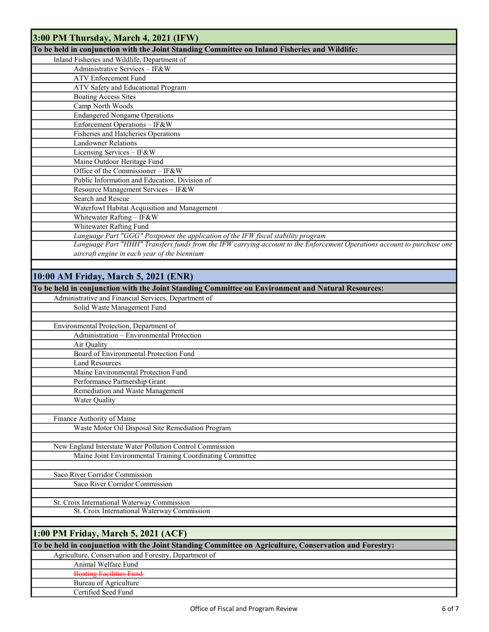| 3:00 PM Thursday, March 4, 2021 (IFW)                                                                                   |
|-------------------------------------------------------------------------------------------------------------------------|
| To be held in conjunction with the Joint Standing Committee on Inland Fisheries and Wildlife:                           |
| Inland Fisheries and Wildlife, Department of                                                                            |
| Administrative Services - IF&W                                                                                          |
| <b>ATV</b> Enforcement Fund                                                                                             |
| ATV Safety and Educational Program                                                                                      |
| <b>Boating Access Sites</b>                                                                                             |
| Camp North Woods                                                                                                        |
| <b>Endangered Nongame Operations</b>                                                                                    |
| Enforcement Operations - IF&W                                                                                           |
| Fisheries and Hatcheries Operations<br><b>Landowner Relations</b>                                                       |
| Licensing Services - IF&W                                                                                               |
| Maine Outdoor Heritage Fund                                                                                             |
| Office of the Commissioner - IF&W                                                                                       |
| Public Information and Education, Division of                                                                           |
| Resource Management Services - IF&W                                                                                     |
| Search and Rescue                                                                                                       |
| Waterfowl Habitat Acquisition and Management                                                                            |
| Whitewater Rafting - IF&W                                                                                               |
| Whitewater Rafting Fund                                                                                                 |
| Language Part "GGG" Postpones the application of the IFW fiscal stability program                                       |
| Language Part "HHH" Transfers funds from the IFW carrying account to the Enforcement Operations account to purchase one |
| aircraft engine in each year of the biennium                                                                            |
|                                                                                                                         |
| 10:00 AM Friday, March 5, 2021 (ENR)                                                                                    |
| To be held in conjunction with the Joint Standing Committee on Environment and Natural Resources:                       |
| Administrative and Financial Services, Department of                                                                    |
| Solid Waste Management Fund                                                                                             |
|                                                                                                                         |
| Environmental Protection, Department of                                                                                 |
| Administration - Environmental Protection                                                                               |
| Air Quality                                                                                                             |
| Board of Environmental Protection Fund                                                                                  |
| <b>Land Resources</b>                                                                                                   |
| Maine Environmental Protection Fund                                                                                     |
| Performance Partnership Grant                                                                                           |
| Remediation and Waste Management                                                                                        |
| Water Quality                                                                                                           |
| Finance Authority of Maine                                                                                              |
| Waste Motor Oil Disposal Site Remediation Program                                                                       |
|                                                                                                                         |
| New England Interstate Water Pollution Control Commission                                                               |
| Maine Joint Environmental Training Coordinating Committee                                                               |
|                                                                                                                         |
| Saco River Corridor Commission                                                                                          |
| Saco River Corridor Commission                                                                                          |
|                                                                                                                         |
| St. Croix International Waterway Commission                                                                             |
| St. Croix International Waterway Commission                                                                             |
|                                                                                                                         |
| 1:00 PM Friday, March 5, 2021 (ACF)                                                                                     |
| To be held in conjunction with the Joint Standing Committee on Agriculture, Conservation and Forestry:                  |
| Agriculture, Conservation and Forestry, Department of                                                                   |
| Animal Welfare Fund                                                                                                     |
| <b>Boating Facilities Fund</b>                                                                                          |
| Bureau of Agriculture                                                                                                   |
| Certified Seed Fund                                                                                                     |